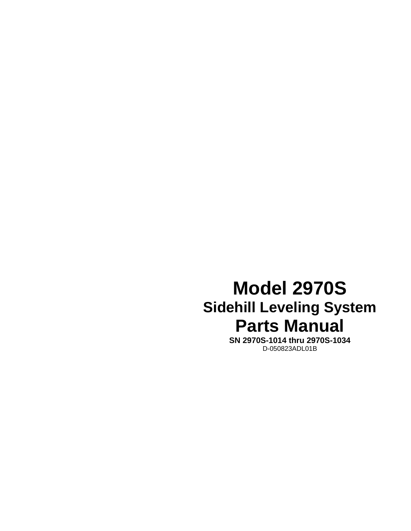## **Model 2970S Sidehill Leveling System Parts Manual**

**SN 2970S-1014 thru 2970S-1034**  D-050823ADL01B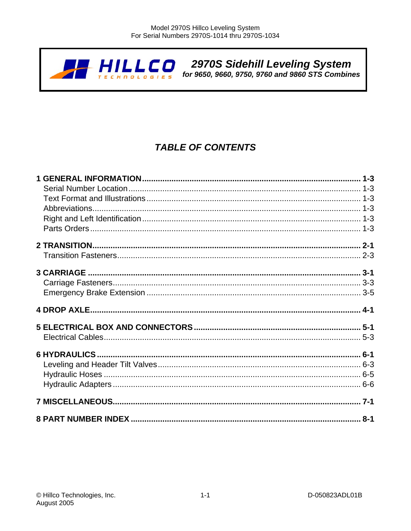

# 2970S Sidehill Leveling System<br>for 9650, 9660, 9750, 9760 and 9860 STS Combines

## **TABLE OF CONTENTS**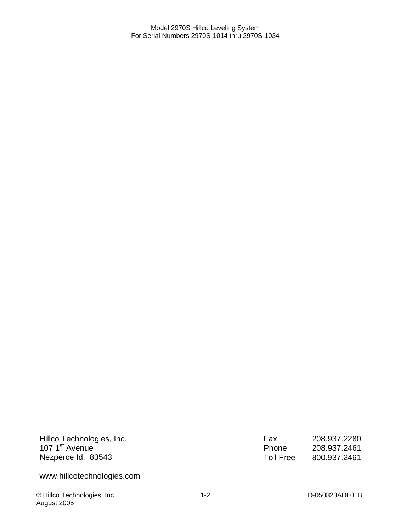Hillco Technologies, Inc. 107 1<sup>st</sup> Avenue Nezperce Id. 83543

www.hillcotechnologies.com

© Hillco Technologies, Inc. 1-2 D-050823ADL01B August 2005

Fax 208.937.2280<br>Phone 208.937.2461 Phone 208.937.2461<br>Toll Free 800.937.2461 800.937.2461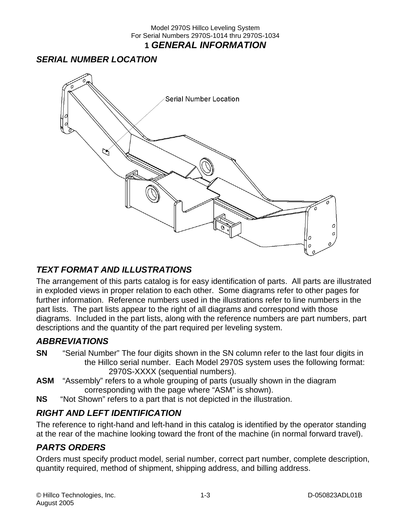## Model 2970S Hillco Leveling System For Serial Numbers 2970S-1014 thru 2970S-1034 **1** *GENERAL INFORMATION*

## *SERIAL NUMBER LOCATION*



## *TEXT FORMAT AND ILLUSTRATIONS*

The arrangement of this parts catalog is for easy identification of parts. All parts are illustrated in exploded views in proper relation to each other. Some diagrams refer to other pages for further information. Reference numbers used in the illustrations refer to line numbers in the part lists. The part lists appear to the right of all diagrams and correspond with those diagrams. Included in the part lists, along with the reference numbers are part numbers, part descriptions and the quantity of the part required per leveling system.

## *ABBREVIATIONS*

- **SN** "Serial Number" The four digits shown in the SN column refer to the last four digits in the Hillco serial number. Each Model 2970S system uses the following format: 2970S-XXXX (sequential numbers).
- **ASM** "Assembly" refers to a whole grouping of parts (usually shown in the diagram corresponding with the page where "ASM" is shown).
- **NS** "Not Shown" refers to a part that is not depicted in the illustration.

## *RIGHT AND LEFT IDENTIFICATION*

The reference to right-hand and left-hand in this catalog is identified by the operator standing at the rear of the machine looking toward the front of the machine (in normal forward travel).

## *PARTS ORDERS*

Orders must specify product model, serial number, correct part number, complete description, quantity required, method of shipment, shipping address, and billing address.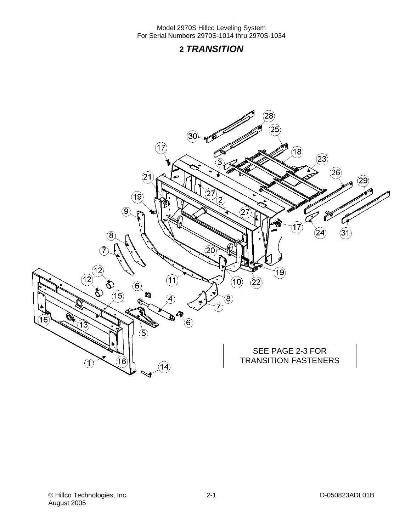## **2** *TRANSITION*

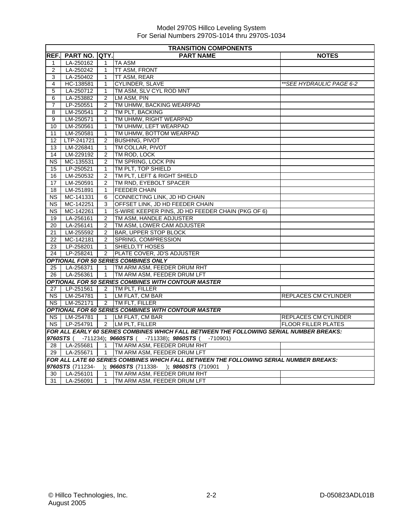|                 | <b>TRANSITION COMPONENTS</b> |                |                                                                                         |                            |  |  |
|-----------------|------------------------------|----------------|-----------------------------------------------------------------------------------------|----------------------------|--|--|
| REF.            | <b>PART NO. IQTY.</b>        |                | <b>PART NAME</b>                                                                        | <b>NOTES</b>               |  |  |
| $\mathbf{1}$    | LA-250162                    | $\mathbf{1}$   | <b>TA ASM</b>                                                                           |                            |  |  |
| $\overline{2}$  | LA-250242                    | 1              | <b>TT ASM, FRONT</b>                                                                    |                            |  |  |
| 3               | LA-250402                    | $\mathbf{1}$   | TT ASM, REAR                                                                            |                            |  |  |
| 4               | HC-138581                    | 1              | CYLINDER, SLAVE                                                                         | **SEE HYDRAULIC PAGE 6-2   |  |  |
| 5               | LA-250712                    | 1              | TM ASM, SLV CYL ROD MNT                                                                 |                            |  |  |
| 6               | LA-253882                    | $\overline{2}$ | LM ASM, PIN                                                                             |                            |  |  |
| $\overline{7}$  | LP-250551                    | $\overline{2}$ | TM UHMW, BACKING WEARPAD                                                                |                            |  |  |
| 8               | LM-250541                    | $\overline{2}$ | TM PLT. BACKING                                                                         |                            |  |  |
| 9               | LM-250571                    | $\mathbf{1}$   | TM UHMW, RIGHT WEARPAD                                                                  |                            |  |  |
| 10              | LM-250561                    | 1              | TM UHMW, LEFT WEARPAD                                                                   |                            |  |  |
| 11              | LM-250581                    | 1              | TM UHMW, BOTTOM WEARPAD                                                                 |                            |  |  |
| 12              | LTP-241721                   | $\overline{2}$ | <b>BUSHING, PIVOT</b>                                                                   |                            |  |  |
| 13              | LM-226841                    | $\mathbf{1}$   | TM COLLAR, PIVOT                                                                        |                            |  |  |
| 14              | LM-229192                    | $\overline{2}$ | TM ROD, LOCK                                                                            |                            |  |  |
| <b>NS</b>       | MC-135531                    | $\overline{2}$ | TM SPRING, LOCK PIN                                                                     |                            |  |  |
| 15              | LP-250521                    | $\mathbf{1}$   | TM PLT. TOP SHIELD                                                                      |                            |  |  |
| 16              | LM-250532                    | $\overline{2}$ | TM PLT, LEFT & RIGHT SHIELD                                                             |                            |  |  |
| 17              | LM-250591                    | 2              | TM RND, EYEBOLT SPACER                                                                  |                            |  |  |
| 18              | LM-251891                    | $\mathbf{1}$   | <b>FEEDER CHAIN</b>                                                                     |                            |  |  |
| <b>NS</b>       | MC-141331                    | 6              | CONNECTING LINK, JD HD CHAIN                                                            |                            |  |  |
| <b>NS</b>       | MC-142251                    | 3              | OFFSET LINK, JD HD FEEDER CHAIN                                                         |                            |  |  |
| NS.             | MC-142261                    | $\mathbf{1}$   | S-WIRE KEEPER PINS, JD HD FEEDER CHAIN (PKG OF 6)                                       |                            |  |  |
| 19              | LA-256161                    | $\overline{2}$ | TM ASM. HANDLE ADJUSTER                                                                 |                            |  |  |
| 20              | LA-256141                    | 2              | TM ASM, LOWER CAM ADJUSTER                                                              |                            |  |  |
| 21              | LM-255592                    | 2              | <b>BAR. UPPER STOP BLOCK</b>                                                            |                            |  |  |
| 22              | MC-142181                    | $\overline{2}$ | SPRING, COMPRESSION                                                                     |                            |  |  |
| 23              | LP-258201                    | $\mathbf{1}$   | SHIELD, TT HOSES                                                                        |                            |  |  |
| 24              | LP-258241                    |                | 2 PLATE COVER, JD'S ADJUSTER                                                            |                            |  |  |
|                 |                              |                | <b>OPTIONAL FOR 50 SERIES COMBINES ONLY</b>                                             |                            |  |  |
| 25              | LA-256371                    | $\mathbf 1$    | TM ARM ASM, FEEDER DRUM RHT                                                             |                            |  |  |
| 26              | LA-256361                    | $\overline{1}$ | TM ARM ASM, FEEDER DRUM LFT                                                             |                            |  |  |
|                 |                              |                | <b>OPTIONAL FOR 50 SERIES COMBINES WITH CONTOUR MASTER</b>                              |                            |  |  |
| 27 <sup>1</sup> | LP-251561                    |                | 2 TM PLT, FILLER                                                                        |                            |  |  |
| NS I            | LM-254781                    | $\mathbf{1}$   | LM FLAT, CM BAR                                                                         | REPLACES CM CYLINDER       |  |  |
| NS I            | LM-252171                    |                | 2 TM FLT, FILLER                                                                        |                            |  |  |
|                 |                              |                | <b>OPTIONAL FOR 60 SERIES COMBINES WITH CONTOUR MASTER</b>                              |                            |  |  |
|                 | NS   LM-254781               |                | 1 LM FLAT, CM BAR                                                                       | REPLACES CM CYLINDER       |  |  |
| NS              | LP-254791                    |                | 2 LM PLT, FILLER                                                                        | <b>FLOOR FILLER PLATES</b> |  |  |
|                 |                              |                | FOR ALL EARLY 60 SERIES COMBINES WHICH FALL BETWEEN THE FOLLOWING SERIAL NUMBER BREAKS: |                            |  |  |
|                 |                              |                | 9760STS ( -711234); 9660STS ( -711338); 9860STS ( -710901)                              |                            |  |  |
| 28              | LA-255681                    |                | 1 TM ARM ASM, FEEDER DRUM RHT                                                           |                            |  |  |
|                 |                              |                | 29   LA-255671   1   TM ARM ASM, FEEDER DRUM LFT                                        |                            |  |  |
|                 |                              |                | FOR ALL LATE 60 SERIES COMBINES WHICH FALL BETWEEN THE FOLLOWING SERIAL NUMBER BREAKS:  |                            |  |  |
|                 |                              |                | 9760STS (711234- ); 9660STS (711338- ); 9860STS (710901                                 |                            |  |  |
| 30              | LA-256101                    |                | 1 TM ARM ASM, FEEDER DRUM RHT                                                           |                            |  |  |
|                 |                              |                | 31   LA-256091   1   TM ARM ASM, FEEDER DRUM LFT                                        |                            |  |  |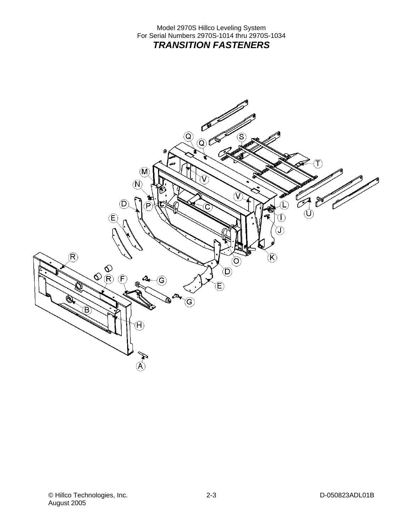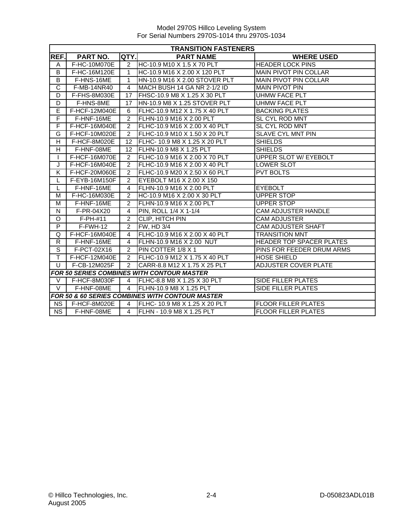|                       | <b>TRANSITION FASTENERS</b> |                |                                                            |                                 |  |  |
|-----------------------|-----------------------------|----------------|------------------------------------------------------------|---------------------------------|--|--|
| REF.                  | <b>PART NO.</b>             | QTY.           | <b>PART NAME</b>                                           | <b>WHERE USED</b>               |  |  |
| A                     | F-HC-10M070E                | 2              | HC-10.9 M10 X 1.5 X 70 PLT                                 | <b>HEADER LOCK PINS</b>         |  |  |
| B                     | F-HC-16M120E                | 1              | HC-10.9 M16 X 2.00 X 120 PLT                               | <b>MAIN PIVOT PIN COLLAR</b>    |  |  |
| B                     | F-HNS-16ME                  | 1              | HN-10.9 M16 X 2.00 STOVER PLT                              | <b>MAIN PIVOT PIN COLLAR</b>    |  |  |
| $\overline{\text{c}}$ | F-MB-14NR40                 | 4              | MACH BUSH 14 GA NR 2-1/2 ID                                | <b>MAIN PIVOT PIN</b>           |  |  |
| D                     | F-FHS-8M030E                | 17             | FHSC-10.9 M8 X 1.25 X 30 PLT                               | <b>UHMW FACE PLT</b>            |  |  |
| D                     | F-HNS-8ME                   | 17             | HN-10.9 M8 X 1.25 STOVER PLT                               | <b>UHMW FACE PLT</b>            |  |  |
| E                     | F-HCF-12M040E               | 6              | FLHC-10.9 M12 X 1.75 X 40 PLT                              | <b>BACKING PLATES</b>           |  |  |
| F                     | F-HNF-16ME                  | $\overline{2}$ | FLHN-10.9 M16 X 2.00 PLT                                   | SL CYL ROD MNT                  |  |  |
| F                     | F-HCF-16M040E               | $\overline{2}$ | FLHC-10.9 M16 X 2.00 X 40 PLT                              | SL CYL ROD MNT                  |  |  |
| G                     | F-HCF-10M020E               | 2              | FLHC-10.9 M10 X 1.50 X 20 PLT                              | SLAVE CYL MNT PIN               |  |  |
| H                     | F-HCF-8M020E                | 12             | FLHC- 10.9 M8 X 1.25 X 20 PLT                              | <b>SHIELDS</b>                  |  |  |
| H                     | F-HNF-08ME                  | 12             | FLHN-10.9 M8 X 1.25 PLT                                    | <b>SHIELDS</b>                  |  |  |
| L                     | F-HCF-16M070E               | 2              | FLHC-10.9 M16 X 2.00 X 70 PLT                              | <b>UPPER SLOT W/ EYEBOLT</b>    |  |  |
| J                     | F-HCF-16M040E               | $\overline{2}$ | FLHC-10.9 M16 X 2.00 X 40 PLT                              | LOWER SLOT                      |  |  |
| K                     | F-HCF-20M060E               | 2              | FLHC-10.9 M20 X 2.50 X 60 PLT                              | <b>PVT BOLTS</b>                |  |  |
| L                     | F-EYB-16M150F               | 2              | EYEBOLT M16 X 2.00 X 150                                   |                                 |  |  |
| L                     | F-HNF-16ME                  | 4              | FLHN-10.9 M16 X 2.00 PLT                                   | <b>EYEBOLT</b>                  |  |  |
| М                     | F-HC-16M030E                | 2              | HC-10.9 M16 X 2.00 X 30 PLT                                | UPPER STOP                      |  |  |
| м                     | F-HNF-16ME                  | $\mathcal{P}$  | FLHN-10.9 M16 X 2.00 PLT                                   | UPPER STOP                      |  |  |
| N                     | F-PR-04X20                  | 4              | PIN, ROLL 1/4 X 1-1/4                                      | <b>CAM ADJUSTER HANDLE</b>      |  |  |
| O                     | $F-PH-#11$                  | $\overline{c}$ | <b>CLIP, HITCH PIN</b>                                     | <b>CAM ADJUSTER</b>             |  |  |
| P                     | F-FWH-12                    | 2              | FW, HD 3/4                                                 | <b>CAM ADJUSTER SHAFT</b>       |  |  |
| Q                     | F-HCF-16M040E               | 4              | FLHC-10.9 M16 X 2.00 X 40 PLT                              | <b>TRANSITION MNT</b>           |  |  |
| R                     | F-HNF-16ME                  | 4              | FLHN-10.9 M16 X 2.00 NUT                                   | <b>HEADER TOP SPACER PLATES</b> |  |  |
| $\overline{s}$        | F-PCT-02X16                 | 2              | PIN COTTER 1/8 X 1                                         | PINS FOR FEEDER DRUM ARMS       |  |  |
| T                     | F-HCF-12M040E               | 2              | FLHC-10.9 M12 X 1.75 X 40 PLT                              | <b>HOSE SHIELD</b>              |  |  |
| U                     | F-CB-12M025F                | $\overline{2}$ | CARR-8.8 M12 X 1.75 X 25 PLT                               | ADJUSTER COVER PLATE            |  |  |
|                       |                             |                | <b>FOR 50 SERIES COMBINES WITH CONTOUR MASTER</b>          |                                 |  |  |
| V                     | F-HCF-8M030F                | 4              | <b>IFLHC-8.8 M8 X 1.25 X 30 PLT</b>                        | SIDE FILLER PLATES              |  |  |
| $\vee$                | F-HNF-08ME                  | $\overline{4}$ | <b>IFLHN-10.9 M8 X 1.25 PLT</b>                            | SIDE FILLER PLATES              |  |  |
|                       |                             |                | <b>FOR 50 &amp; 60 SERIES COMBINES WITH CONTOUR MASTER</b> |                                 |  |  |
| <b>NS</b>             | F-HCF-8M020E                | 4              | IFLHC- 10.9 M8 X 1.25 X 20 PLT                             | <b>FLOOR FILLER PLATES</b>      |  |  |
| <b>NS</b>             | F-HNF-08ME                  | 4              | FLHN - 10.9 M8 X 1.25 PLT                                  | <b>FLOOR FILLER PLATES</b>      |  |  |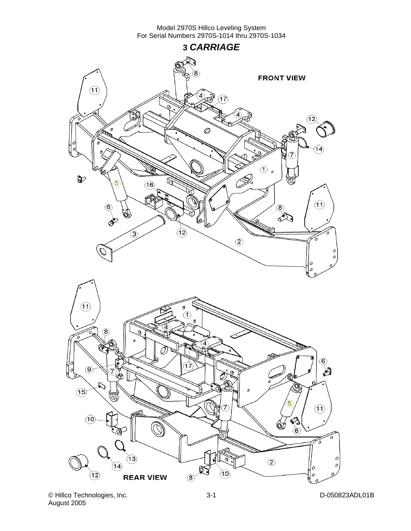



© Hillco Technologies, Inc. D-050823ADL01B August 2005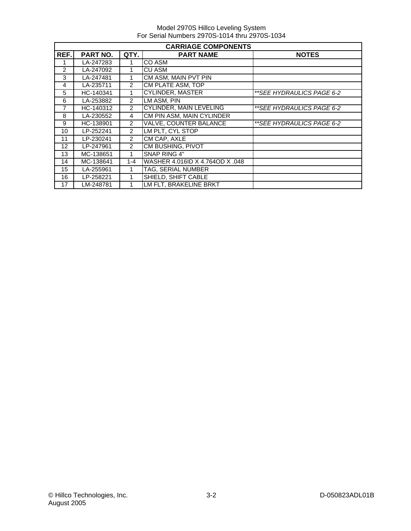|      | <b>CARRIAGE COMPONENTS</b> |                |                                 |                           |  |  |
|------|----------------------------|----------------|---------------------------------|---------------------------|--|--|
| REF. | <b>PART NO.</b>            | QTY.           | <b>PART NAME</b>                | <b>NOTES</b>              |  |  |
|      | LA-247283                  |                | CO ASM                          |                           |  |  |
| 2    | LA-247092                  |                | <b>CU ASM</b>                   |                           |  |  |
| 3    | LA-247481                  |                | CM ASM, MAIN PVT PIN            |                           |  |  |
| 4    | LA-235711                  | 2              | CM PLATE ASM, TOP               |                           |  |  |
| 5    | HC-140341                  | 1              | <b>CYLINDER, MASTER</b>         | **SEE HYDRAULICS PAGE 6-2 |  |  |
| 6    | LA-253882                  | $\overline{2}$ | LM ASM, PIN                     |                           |  |  |
| 7    | HC-140312                  | $\overline{2}$ | <b>CYLINDER, MAIN LEVELING</b>  | **SEE HYDRAULICS PAGE 6-2 |  |  |
| 8    | LA-230552                  | 4              | CM PIN ASM, MAIN CYLINDER       |                           |  |  |
| 9    | HC-138901                  | $\overline{2}$ | <b>VALVE, COUNTER BALANCE</b>   | **SEE HYDRAULICS PAGE 6-2 |  |  |
| 10   | LP-252241                  | $\mathcal{P}$  | LM PLT, CYL STOP                |                           |  |  |
| 11   | LP-230241                  | $\overline{2}$ | CM CAP, AXLE                    |                           |  |  |
| 12   | LP-247961                  | 2              | <b>CM BUSHING, PIVOT</b>        |                           |  |  |
| 13   | MC-138651                  | 1              | SNAP RING 4"                    |                           |  |  |
| 14   | MC-138641                  | $1 - 4$        | WASHER 4.016ID X 4.764OD X .048 |                           |  |  |
| 15   | LA-255961                  |                | TAG, SERIAL NUMBER              |                           |  |  |
| 16   | LP-258221                  | 1              | <b>SHIELD, SHIFT CABLE</b>      |                           |  |  |
| 17   | LM-248781                  |                | LM FLT, BRAKELINE BRKT          |                           |  |  |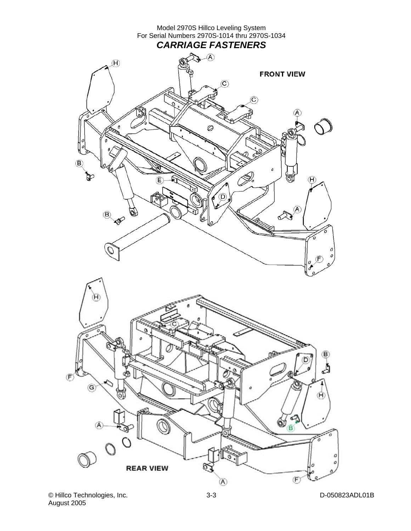

© Hillco Technologies, Inc. D-050823ADL01B August 2005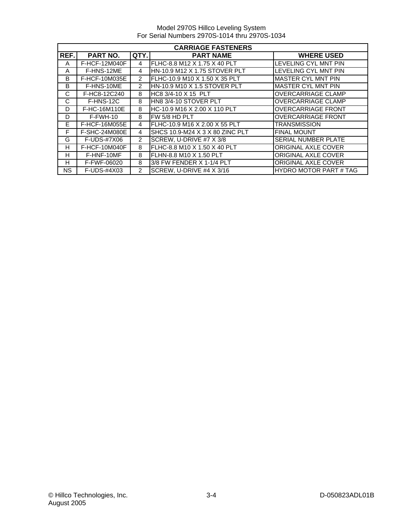|      | <b>CARRIAGE FASTENERS</b> |                |                                 |                               |  |
|------|---------------------------|----------------|---------------------------------|-------------------------------|--|
| REF. | <b>PART NO.</b>           | QTY.           | <b>PART NAME</b>                | <b>WHERE USED</b>             |  |
| A    | <b>F-HCF-12M040F</b>      | 4              | FLHC-8.8 M12 X 1.75 X 40 PLT    | LEVELING CYL MNT PIN          |  |
| A    | F-HNS-12ME                | 4              | HN-10.9 M12 X 1.75 STOVER PLT   | <b>LEVELING CYL MNT PIN</b>   |  |
| B    | F-HCF-10M035E             | $\mathcal{P}$  | FLHC-10.9 M10 X 1.50 X 35 PLT   | <b>MASTER CYL MNT PIN</b>     |  |
| B    | F-HNS-10ME                | $\mathcal{P}$  | HN-10.9 M10 X 1.5 STOVER PLT    | <b>MASTER CYL MNT PIN</b>     |  |
| C    | F-HC8-12C240              | 8              | HC8 3/4-10 X 15 PLT             | <b>OVERCARRIAGE CLAMP</b>     |  |
| C    | F-HNS-12C                 | 8              | HN8 3/4-10 STOVER PLT           | <b>OVERCARRIAGE CLAMP</b>     |  |
| D    | F-HC-16M110E              | 8              | HC-10.9 M16 X 2.00 X 110 PLT    | <b>OVERCARRIAGE FRONT</b>     |  |
| D    | $F-FWH-10$                | 8              | FW 5/8 HD PLT                   | <b>OVERCARRIAGE FRONT</b>     |  |
| E.   | <b>F-HCF-16M055E</b>      | 4              | FLHC-10.9 M16 X 2.00 X 55 PLT   | <b>TRANSMISSION</b>           |  |
| F    | F-SHC-24M080E             | 4              | SHCS 10.9-M24 X 3 X 80 ZINC PLT | <b>FINAL MOUNT</b>            |  |
| G    | F-UDS-#7X06               | $\overline{2}$ | SCREW, U-DRIVE #7 X 3/8         | <b>SERIAL NUMBER PLATE</b>    |  |
| н    | F-HCF-10M040F             | 8              | IFLHC-8.8 M10 X 1.50 X 40 PLT   | <b>ORIGINAL AXLE COVER</b>    |  |
| н    | F-HNF-10MF                | 8              | IFLHN-8.8 M10 X 1.50 PLT        | <b>ORIGINAL AXLE COVER</b>    |  |
| н    | F-FWF-06020               | 8              | 3/8 FW FENDER X 1-1/4 PLT       | <b>ORIGINAL AXLE COVER</b>    |  |
| NS.  | F-UDS-#4X03               | $\mathcal{P}$  | SCREW, U-DRIVE #4 X 3/16        | <b>HYDRO MOTOR PART # TAG</b> |  |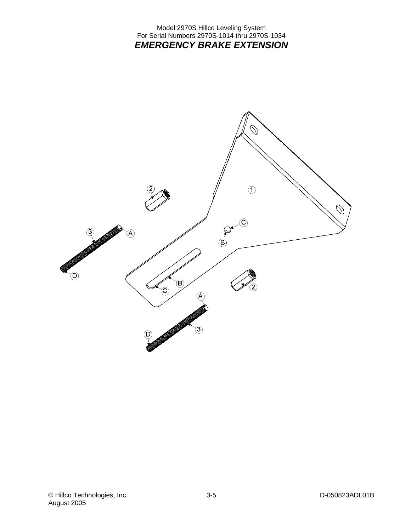## Model 2970S Hillco Leveling System For Serial Numbers 2970S-1014 thru 2970S-1034 *EMERGENCY BRAKE EXTENSION*

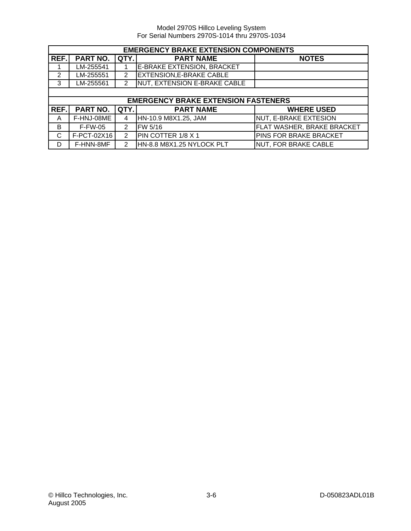|      | <b>EMERGENCY BRAKE EXTENSION COMPONENTS</b> |                |                                            |                                   |
|------|---------------------------------------------|----------------|--------------------------------------------|-----------------------------------|
| REF. | PART NO.                                    | QTY.           | <b>PART NAME</b>                           | <b>NOTES</b>                      |
|      | LM-255541                                   |                | E-BRAKE EXTENSION, BRACKET                 |                                   |
| 2    | LM-255551                                   | $\overline{2}$ | <b>EXTENSION, E-BRAKE CABLE</b>            |                                   |
| 3    | LM-255561                                   | $\overline{2}$ | NUT, EXTENSION E-BRAKE CABLE               |                                   |
|      |                                             |                |                                            |                                   |
|      |                                             |                | <b>EMERGENCY BRAKE EXTENSION FASTENERS</b> |                                   |
| REF. | PART NO.                                    | QTY.           | <b>PART NAME</b>                           | <b>WHERE USED</b>                 |
| A    | F-HNJ-08ME                                  | 4              | HN-10.9 M8X1.25, JAM                       | NUT, E-BRAKE EXTESION             |
| B    | <b>F-FW-05</b>                              | $\overline{2}$ | FW 5/16                                    | <b>FLAT WASHER, BRAKE BRACKET</b> |
| C    | F-PCT-02X16                                 | 2              | PIN COTTER 1/8 X 1                         | <b>PINS FOR BRAKE BRACKET</b>     |
| D    | F-HNN-8MF                                   | $\mathcal{P}$  | HN-8.8 M8X1.25 NYLOCK PLT                  | NUT, FOR BRAKE CABLE              |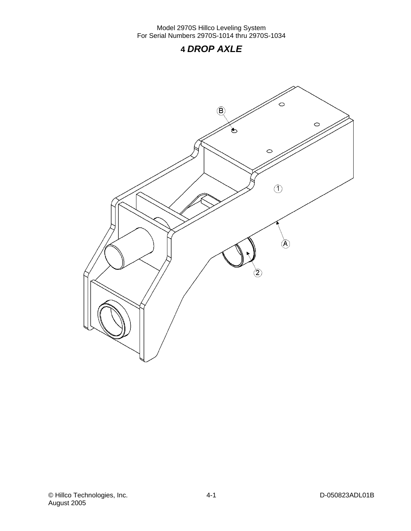## **4** *DROP AXLE*

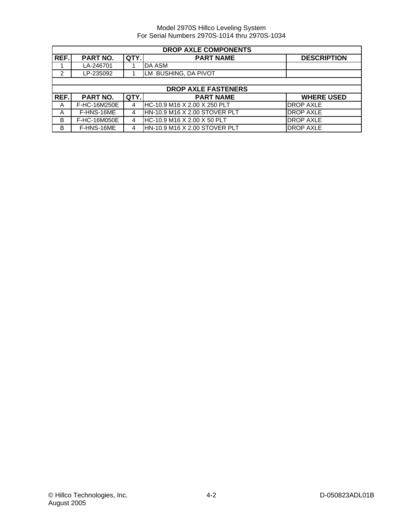| <b>DROP AXLE COMPONENTS</b> |                 |      |                               |                    |
|-----------------------------|-----------------|------|-------------------------------|--------------------|
| REF.                        | <b>PART NO.</b> | QTY. | <b>PART NAME</b>              | <b>DESCRIPTION</b> |
|                             | LA-246701       |      | DA ASM                        |                    |
| 2                           | LP-235092       |      | LM BUSHING, DA PIVOT          |                    |
|                             |                 |      |                               |                    |
|                             |                 |      | <b>DROP AXLE FASTENERS</b>    |                    |
| REF.                        | <b>PART NO.</b> | QTY. | <b>PART NAME</b>              | <b>WHERE USED</b>  |
| A                           | F-HC-16M250E    | 4    | HC-10.9 M16 X 2.00 X 250 PLT  | <b>DROP AXLE</b>   |
| A                           | F-HNS-16ME      | 4    | HN-10.9 M16 X 2.00 STOVER PLT | DROP AXLE          |
| B                           | F-HC-16M050E    | 4    | HC-10.9 M16 X 2.00 X 50 PLT   | <b>DROP AXLE</b>   |
| В                           | F-HNS-16ME      | 4    | HN-10.9 M16 X 2.00 STOVER PLT | <b>DROP AXLE</b>   |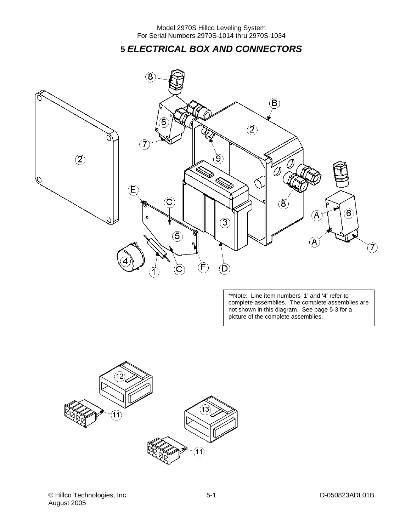**5** *ELECTRICAL BOX AND CONNECTORS* 



\*\*Note: Line item numbers '1' and '4' refer to complete assemblies. The complete assemblies are not shown in this diagram. See page 5-3 for a picture of the complete assemblies.

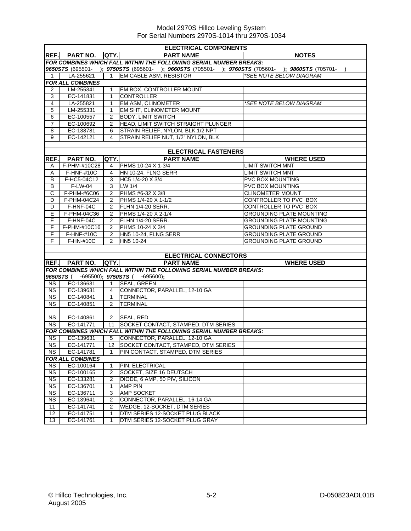|                | <b>ELECTRICAL COMPONENTS</b>   |                |                                                                                                  |                                 |  |
|----------------|--------------------------------|----------------|--------------------------------------------------------------------------------------------------|---------------------------------|--|
|                | REF. PART NO. QTY.             |                | <b>PART NAME</b>                                                                                 | <b>NOTES</b>                    |  |
|                |                                |                | FOR COMBINES WHICH FALL WITHIN THE FOLLOWING SERIAL NUMBER BREAKS:                               |                                 |  |
|                |                                |                | 9650STS (695501- ); 9750STS (695601- ); 9660STS (705501- ); 9760STS (705601- ); 9860STS (705701- |                                 |  |
| 1              | LA-255621                      | $\overline{1}$ | EM CABLE ASM, RESISTOR                                                                           | *SEE NOTE BELOW DIAGRAM         |  |
|                | FOR ALL COMBINES               |                |                                                                                                  |                                 |  |
| 2              | LM-255341                      | $\mathbf{1}$   | EM BOX, CONTROLLER MOUNT                                                                         |                                 |  |
| 3              | EC-141831                      | 1              | <b>CONTROLLER</b>                                                                                |                                 |  |
| $\overline{4}$ | LA-255821                      | 1              | EM ASM, CLINOMETER                                                                               | *SEE NOTE BELOW DIAGRAM         |  |
| 5              | LM-255331                      | $\mathbf{1}$   | EM SHT. CLINOMETER MOUNT                                                                         |                                 |  |
| 6              | EC-100557                      | $\overline{2}$ | <b>BODY, LIMIT SWITCH</b>                                                                        |                                 |  |
| $\overline{7}$ | EC-100692                      | 2              | HEAD, LIMIT SWITCH STRAIGHT PLUNGER                                                              |                                 |  |
| 8              | EC-138781                      | 6              | STRAIN RELIEF, NYLON, BLK, 1/2 NPT                                                               |                                 |  |
| 9              | EC-142121                      | $\overline{4}$ | STRAIN RELIEF NUT, 1/2" NYLON, BLK                                                               |                                 |  |
|                |                                |                |                                                                                                  |                                 |  |
| REF.           | PART NO.                       |                | <b>ELECTRICAL FASTENERS</b><br><b>PART NAME</b><br>QTY.                                          | <b>WHERE USED</b>               |  |
| A              | F-PHM-#10C28                   | 4              | PHMS 10-24 X 1-3/4                                                                               | <b>LIMIT SWITCH MNT</b>         |  |
| A              | F-HNF-#10C                     | 4              | HN 10-24, FLNG SERR                                                                              | LIMIT SWITCH MNT                |  |
| B              | F-HC5-04C12                    | 3              | HC5 1/4-20 X 3/4                                                                                 | <b>PVC BOX MOUNTING</b>         |  |
| B              | $F-LW-04$                      | 3              | LW 1/4                                                                                           | PVC BOX MOUNTING                |  |
| C              | F-PHM-#6C06                    | $\overline{2}$ | PHMS #6-32 X 3/8                                                                                 | <b>CLINOMETER MOUNT</b>         |  |
| D              | F-PHM-04C24                    | 2              | PHMS 1/4-20 X 1-1/2                                                                              | CONTROLLER TO PVC BOX           |  |
| D              | $F-HNF-04C$                    | 2              | FLHN 1/4-20 SERR.                                                                                | CONTROLLER TO PVC BOX           |  |
| E              | F-PHM-04C36                    | 2              | PHMS 1/4-20 X 2-1/4                                                                              | <b>GROUNDING PLATE MOUNTING</b> |  |
| E.             | F-HNF-04C                      | $\mathbf{2}$   | FLHN 1/4-20 SERR.                                                                                | <b>GROUNDING PLATE MOUNTING</b> |  |
| F              | F-PHM-#10C16                   | 2              | PHMS 10-24 X 3/4                                                                                 | <b>GROUNDING PLATE GROUND</b>   |  |
| F.             | F-HNF-#10C                     | $\overline{2}$ | HN5 10-24, FLNG SERR                                                                             | <b>GROUNDING PLATE GROUND</b>   |  |
| F.             | F-HN-#10C                      | 2              | HN5 10-24                                                                                        | <b>GROUNDING PLATE GROUND</b>   |  |
|                |                                |                |                                                                                                  |                                 |  |
|                |                                |                | <b>ELECTRICAL CONNECTORS</b>                                                                     |                                 |  |
| REF.           | <b>PART NO.</b>                |                | QTY.<br><b>PART NAME</b>                                                                         | <b>WHERE USED</b>               |  |
|                |                                |                | <b>FOR COMBINES WHICH FALL WITHIN THE FOLLOWING SERIAL NUMBER BREAKS:</b>                        |                                 |  |
|                | 9650STS(<br>-695500); 9750STS( |                | -695600);                                                                                        |                                 |  |
| NS.            | EC-136631                      |                | 1 SEAL, GREEN                                                                                    |                                 |  |
| NS             | EC-139631                      |                | 4 CONNECTOR, PARALLEL, 12-10 GA                                                                  |                                 |  |
| <b>NS</b>      | EC-140841                      | $\mathbf{1}$   | <b>TERMINAL</b>                                                                                  |                                 |  |
| <b>NS</b>      | EC-140851                      | 2              | <b>TERMINAL</b>                                                                                  |                                 |  |
| <b>NS</b>      | EC-140861                      |                | 2 SEAL, RED                                                                                      |                                 |  |
| NS             | EC-141771                      |                | 11   SOCKET CONTACT, STAMPED, DTM SERIES                                                         |                                 |  |
|                |                                |                | FOR COMBINES WHICH FALL WITHIN THE FOLLOWING SERIAL NUMBER BREAKS:                               |                                 |  |
| NS             | EC-139631                      |                | 5 CONNECTOR, PARALLEL, 12-10 GA                                                                  |                                 |  |
| NS.            | EC-141771                      | 12             | <b>ISOCKET CONTACT, STAMPED, DTM SERIES</b>                                                      |                                 |  |
| NS.            | EC-141781                      | 1              | PIN CONTACT, STAMPED, DTM SERIES                                                                 |                                 |  |
|                | <b>FOR ALL COMBINES</b>        |                |                                                                                                  |                                 |  |
| NS.            | EC-100164                      | 1              | PIN, ELECTRICAL                                                                                  |                                 |  |
| <b>NS</b>      | EC-100165                      | 2              | SOCKET, SIZE 16 DEUTSCH                                                                          |                                 |  |
| N <sub>S</sub> | EC-133281                      | 2              | DIODE, 6 AMP, 50 PIV, SILICON                                                                    |                                 |  |
| <b>NS</b>      | EC-136701                      | 1              | <b>AMP PIN</b>                                                                                   |                                 |  |
| <b>NS</b>      | EC-136711                      | 3              | <b>AMP SOCKET</b>                                                                                |                                 |  |
| NS.            | EC-139641                      | 2              | CONNECTOR, PARALLEL, 16-14 GA                                                                    |                                 |  |
| 11             | EC-141741                      | 2              | WEDGE, 12-SOCKET, DTM SERIES                                                                     |                                 |  |
| 12             | EC-141751                      | 1              | DTM SERIES 12-SOCKET PLUG BLACK                                                                  |                                 |  |
| 13             | EC-141761                      | 1              | DTM SERIES 12-SOCKET PLUG GRAY                                                                   |                                 |  |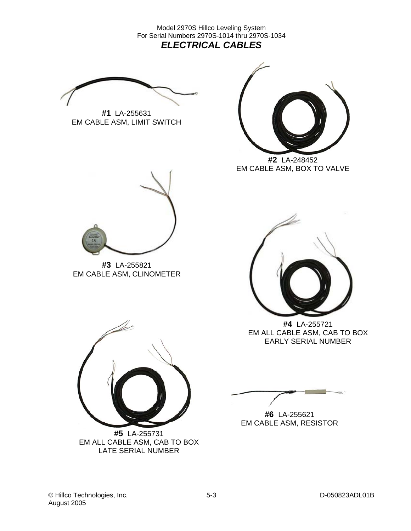Model 2970S Hillco Leveling System For Serial Numbers 2970S-1014 thru 2970S-1034 *ELECTRICAL CABLES* 

**#1** LA-255631 EM CABLE ASM, LIMIT SWITCH



**#2** LA-248452 EM CABLE ASM, BOX TO VALVE



**#3** LA-255821 EM CABLE ASM, CLINOMETER



**#4** LA-255721 EM ALL CABLE ASM, CAB TO BOX EARLY SERIAL NUMBER

**#6** LA-255621 EM CABLE ASM, RESISTOR



EM ALL CABLE ASM, CAB TO BOX LATE SERIAL NUMBER

© Hillco Technologies, Inc. 65-3 Communication of the D-050823ADL01B August 2005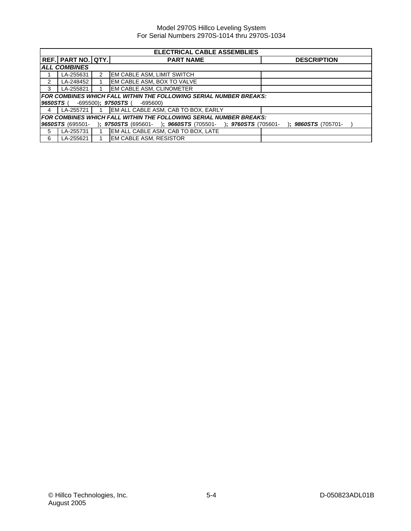| <b>ELECTRICAL CABLE ASSEMBLIES</b> |                                                                           |  |                                                                                          |  |  |  |  |  |
|------------------------------------|---------------------------------------------------------------------------|--|------------------------------------------------------------------------------------------|--|--|--|--|--|
|                                    | <b>REF. PART NO. QTY.</b><br><b>PART NAME</b><br><b>DESCRIPTION</b>       |  |                                                                                          |  |  |  |  |  |
|                                    | <b>ALL COMBINES</b>                                                       |  |                                                                                          |  |  |  |  |  |
|                                    | LA-255631                                                                 |  | EM CABLE ASM, LIMIT SWITCH                                                               |  |  |  |  |  |
| $\overline{2}$                     | LA-248452                                                                 |  | EM CABLE ASM, BOX TO VALVE                                                               |  |  |  |  |  |
| - 3                                | LA-255821                                                                 |  | <b>EM CABLE ASM. CLINOMETER</b>                                                          |  |  |  |  |  |
|                                    |                                                                           |  | FOR COMBINES WHICH FALL WITHIN THE FOLLOWING SERIAL NUMBER BREAKS:                       |  |  |  |  |  |
| 9650STS (                          |                                                                           |  | -695500); <b>9750STS</b> (<br>-695600)                                                   |  |  |  |  |  |
| $\overline{4}$                     | LA-255721 1                                                               |  | EM ALL CABLE ASM, CAB TO BOX, EARLY                                                      |  |  |  |  |  |
|                                    | <b>FOR COMBINES WHICH FALL WITHIN THE FOLLOWING SERIAL NUMBER BREAKS:</b> |  |                                                                                          |  |  |  |  |  |
|                                    | 9650STS (695501-                                                          |  | $\colon$ 9860STS (705701-<br>); 9750STS (695601- ); 9660STS (705501- ); 9760STS (705601- |  |  |  |  |  |
| - 5                                | LA-255731                                                                 |  | EM ALL CABLE ASM, CAB TO BOX, LATE                                                       |  |  |  |  |  |
| - 6                                | LA-255621                                                                 |  | EM CABLE ASM, RESISTOR                                                                   |  |  |  |  |  |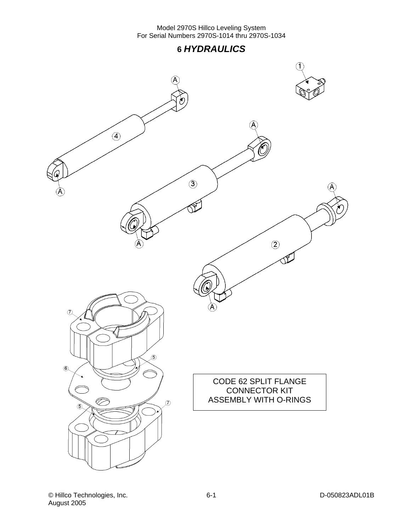## **6** *HYDRAULICS*

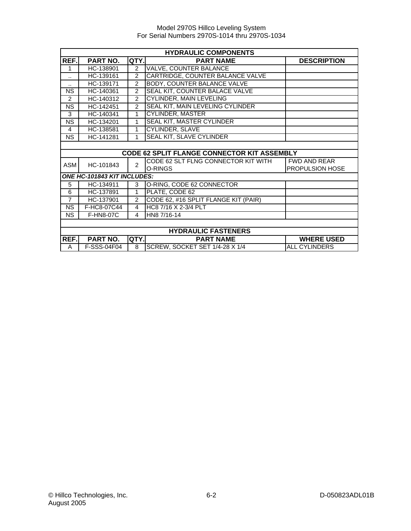|                | <b>HYDRAULIC COMPONENTS</b> |                |                                                    |                      |  |  |
|----------------|-----------------------------|----------------|----------------------------------------------------|----------------------|--|--|
| REF.           | PART NO.                    | QTY.           | <b>PART NAME</b>                                   | <b>DESCRIPTION</b>   |  |  |
| 1              | HC-138901                   | $\overline{2}$ | <b>VALVE, COUNTER BALANCE</b>                      |                      |  |  |
|                | HC-139161                   | $\mathcal{P}$  | CARTRIDGE, COUNTER BALANCE VALVE                   |                      |  |  |
| ٠.             | HC-139171                   | $\overline{2}$ | <b>BODY, COUNTER BALANCE VALVE</b>                 |                      |  |  |
| <b>NS</b>      | HC-140361                   | $\overline{2}$ | SEAL KIT, COUNTER BALACE VALVE                     |                      |  |  |
| 2              | HC-140312                   | $\overline{2}$ | <b>CYLINDER, MAIN LEVELING</b>                     |                      |  |  |
| <b>NS</b>      | HC-142451                   | $\overline{2}$ | SEAL KIT, MAIN LEVELING CYLINDER                   |                      |  |  |
| 3              | HC-140341                   | 1              | <b>CYLINDER, MASTER</b>                            |                      |  |  |
| <b>NS</b>      | HC-134201                   | 1              | <b>SEAL KIT, MASTER CYLINDER</b>                   |                      |  |  |
| 4              | HC-138581                   | 1              | <b>CYLINDER, SLAVE</b>                             |                      |  |  |
| <b>NS</b>      | HC-141281                   | 1              | SEAL KIT, SLAVE CYLINDER                           |                      |  |  |
|                |                             |                |                                                    |                      |  |  |
|                |                             |                | <b>CODE 62 SPLIT FLANGE CONNECTOR KIT ASSEMBLY</b> |                      |  |  |
| ASM            | HC-101843                   | $\mathfrak{p}$ | CODE 62 SLT FLNG CONNECTOR KIT WITH                | <b>FWD AND REAR</b>  |  |  |
|                |                             |                | O-RINGS                                            | PROPULSION HOSE      |  |  |
|                | ONE HC-101843 KIT INCLUDES: |                |                                                    |                      |  |  |
| 5              | HC-134911                   | 3              | O-RING, CODE 62 CONNECTOR                          |                      |  |  |
| 6              | HC-137891                   | 1              | PLATE, CODE 62                                     |                      |  |  |
| $\overline{7}$ | HC-137901                   | $\mathfrak{p}$ | CODE 62, #16 SPLIT FLANGE KIT (PAIR)               |                      |  |  |
| <b>NS</b>      | F-HC8-07C44                 | 4              | HC8 7/16 X 2-3/4 PLT                               |                      |  |  |
| NS.            | <b>F-HN8-07C</b>            | 4              | HN8 7/16-14                                        |                      |  |  |
|                |                             |                |                                                    |                      |  |  |
|                | <b>HYDRAULIC FASTENERS</b>  |                |                                                    |                      |  |  |
| REF.           | PART NO.                    | QTY.           | <b>PART NAME</b>                                   | <b>WHERE USED</b>    |  |  |
| A              | F-SSS-04F04                 | 8              | SCREW, SOCKET SET 1/4-28 X 1/4                     | <b>ALL CYLINDERS</b> |  |  |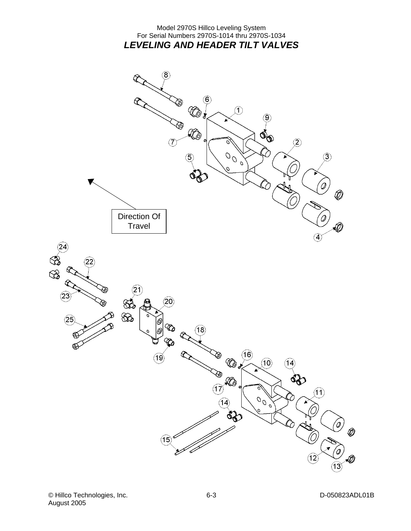## Model 2970S Hillco Leveling System For Serial Numbers 2970S-1014 thru 2970S-1034 *LEVELING AND HEADER TILT VALVES*

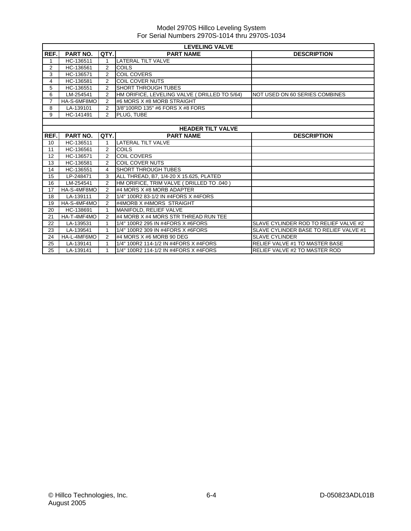|                | <b>LEVELING VALVE</b> |                |                                               |                                        |  |  |
|----------------|-----------------------|----------------|-----------------------------------------------|----------------------------------------|--|--|
| REF.           | <b>PART NO.</b>       | QTY.           | <b>PART NAME</b>                              | <b>DESCRIPTION</b>                     |  |  |
|                | HC-136511             | 1              | <b>LATERAL TILT VALVE</b>                     |                                        |  |  |
| 2              | HC-136561             | $\overline{2}$ | COILS                                         |                                        |  |  |
| 3              | HC-136571             | $\overline{2}$ | <b>COIL COVERS</b>                            |                                        |  |  |
| 4              | HC-136581             | $\overline{2}$ | <b>COIL COVER NUTS</b>                        |                                        |  |  |
| 5              | HC-136551             | 2              | <b>SHORT THROUGH TUBES</b>                    |                                        |  |  |
| 6              | LM-254541             | $\overline{2}$ | HM ORIFICE, LEVELING VALVE ( DRILLED TO 5/64) | NOT USED ON 60 SERIES COMBINES         |  |  |
| $\overline{7}$ | HA-S-6MF8MO           | $\overline{2}$ | #6 MORS X #8 MORB STRAIGHT                    |                                        |  |  |
| 8              | LA-139101             | 2              | 3/8"100RD 135" #6 FORS X #8 FORS              |                                        |  |  |
| 9              | HC-141491             | $\overline{2}$ | PLUG. TUBE                                    |                                        |  |  |
|                |                       |                |                                               |                                        |  |  |
|                |                       |                | <b>HEADER TILT VALVE</b>                      |                                        |  |  |
| REF.           | <b>PART NO.</b>       | QTY.           | <b>PART NAME</b>                              | <b>DESCRIPTION</b>                     |  |  |
| 10             | HC-136511             | 1              | <b>LATERAL TILT VALVE</b>                     |                                        |  |  |
| 11             | HC-136561             | $\overline{2}$ | <b>COILS</b>                                  |                                        |  |  |
| 12             | HC-136571             | 2              | <b>COIL COVERS</b>                            |                                        |  |  |
| 13             | HC-136581             | $\overline{2}$ | <b>COIL COVER NUTS</b>                        |                                        |  |  |
| 14             | HC-136551             | 4              | <b>SHORT THROUGH TUBES</b>                    |                                        |  |  |
| 15             | LP-248471             | 3              | ALL THREAD, B7, 1/4-20 X 15.625, PLATED       |                                        |  |  |
| 16             | LM-254541             | $\overline{2}$ | HM ORIFICE, TRIM VALVE ( DRILLED TO .040 )    |                                        |  |  |
| 17             | HA-S-4MF8MO           | 2              | #4 MORS X #8 MORB ADAPTER                     |                                        |  |  |
| 18             | LA-139111             | 2              | 1/4" 100R2 83-1/2 IN #4FORS X #4FORS          |                                        |  |  |
| 19             | HA-S-4MF4MO           | $\overline{2}$ | #4MORB X #4MORS STRAIGHT                      |                                        |  |  |
| 20             | HC-138691             | 1              | MANIFOLD, RELIEF VALVE                        |                                        |  |  |
| 21             | HA-T-4MF4MO           | $\overline{2}$ | #4 MORB X #4 MORS STR THREAD RUN TEE          |                                        |  |  |
| 22             | LA-139531             | 1              | 1/4" 100R2 295 IN #4FORS X #6FORS             | SLAVE CYLINDER ROD TO RELIEF VALVE #2  |  |  |
| 23             | LA-139541             | 1              | 1/4" 100R2 309 IN #4FORS X #6FORS             | SLAVE CYLINDER BASE TO RELIEF VALVE #1 |  |  |
| 24             | HA-L-4MF6MO           | $\overline{2}$ | #4 MORS X #6 MORB 90 DEG                      | <b>SLAVE CYLINDER</b>                  |  |  |
| 25             | LA-139141             |                | 1/4" 100R2 114-1/2 IN #4FORS X #4FORS         | <b>RELIEF VALVE #1 TO MASTER BASE</b>  |  |  |
| 25             | LA-139141             | 1              | 1/4" 100R2 114-1/2 IN #4FORS X #4FORS         | <b>RELIEF VALVE #2 TO MASTER ROD</b>   |  |  |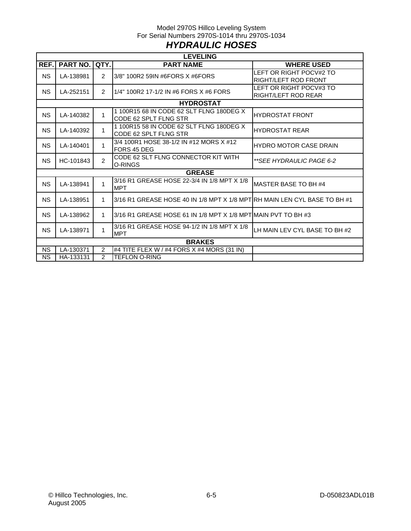## Model 2970S Hillco Leveling System For Serial Numbers 2970S-1014 thru 2970S-1034 *HYDRAULIC HOSES*

|           | <b>LEVELING</b> |                |                                                                           |                                                        |  |  |  |  |
|-----------|-----------------|----------------|---------------------------------------------------------------------------|--------------------------------------------------------|--|--|--|--|
| REF.      | <b>PART NO.</b> | QTY.           | <b>PART NAME</b>                                                          | <b>WHERE USED</b>                                      |  |  |  |  |
| NS.       | LA-138981       | 2              | 3/8" 100R2 59IN #6FORS X #6FORS                                           | LEFT OR RIGHT POCV#2 TO<br><b>RIGHT/LEFT ROD FRONT</b> |  |  |  |  |
| NS.       | LA-252151       | 2              | 1/4" 100R2 17-1/2 IN #6 FORS X #6 FORS                                    | LEFT OR RIGHT POCV#3 TO<br><b>RIGHT/LEFT ROD REAR</b>  |  |  |  |  |
|           |                 |                | <b>HYDROSTAT</b>                                                          |                                                        |  |  |  |  |
| <b>NS</b> | LA-140382       | 1              | 1100R1568 IN CODE 62 SLT FLNG 180DEG X<br>CODE 62 SPLT FLNG STR           | <b>HYDROSTAT FRONT</b>                                 |  |  |  |  |
| <b>NS</b> | LA-140392       | 1              | 1100R1558 IN CODE 62 SLT FLNG 180DEG X<br>CODE 62 SPLT FLNG STR           | <b>HYDROSTAT REAR</b>                                  |  |  |  |  |
| NS.       | LA-140401       | 1              | 3/4 100R1 HOSE 38-1/2 IN #12 MORS X #12<br>FORS 45 DEG                    | <b>HYDRO MOTOR CASE DRAIN</b>                          |  |  |  |  |
| NS.       | HC-101843       | $\mathfrak{p}$ | CODE 62 SLT FLNG CONNECTOR KIT WITH<br>O-RINGS                            | **SEE HYDRAULIC PAGE 6-2                               |  |  |  |  |
|           |                 |                | <b>GREASE</b>                                                             |                                                        |  |  |  |  |
| NS.       | LA-138941       | 1              | 3/16 R1 GREASE HOSE 22-3/4 IN 1/8 MPT X 1/8<br><b>MPT</b>                 | MASTER BASE TO BH #4                                   |  |  |  |  |
| <b>NS</b> | LA-138951       | 1              | 3/16 R1 GREASE HOSE 40 IN 1/8 MPT X 1/8 MPTIRH MAIN LEN CYL BASE TO BH #1 |                                                        |  |  |  |  |
| <b>NS</b> | LA-138962       | 1              | 3/16 R1 GREASE HOSE 61 IN 1/8 MPT X 1/8 MPTIMAIN PVT TO BH #3             |                                                        |  |  |  |  |
| <b>NS</b> | LA-138971       | 1              | 3/16 R1 GREASE HOSE 94-1/2 IN 1/8 MPT X 1/8<br><b>MPT</b>                 | LH MAIN LEV CYL BASE TO BH #2                          |  |  |  |  |
|           |                 |                | <b>BRAKES</b>                                                             |                                                        |  |  |  |  |
| <b>NS</b> | LA-130371       | $\overline{2}$ | #4 TITE FLEX W / #4 FORS X #4 MORS (31 IN)                                |                                                        |  |  |  |  |
| <b>NS</b> | HA-133131       | $\overline{2}$ | <b>TEFLON O-RING</b>                                                      |                                                        |  |  |  |  |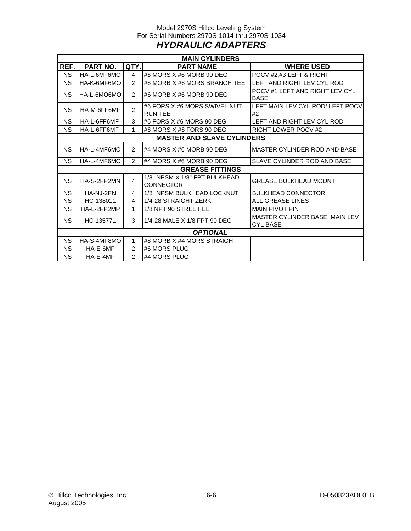## Model 2970S Hillco Leveling System For Serial Numbers 2970S-1014 thru 2970S-1034 *HYDRAULIC ADAPTERS*

| <b>MAIN CYLINDERS</b>             |                 |                |                                                   |                                                   |  |  |  |  |
|-----------------------------------|-----------------|----------------|---------------------------------------------------|---------------------------------------------------|--|--|--|--|
| REF.                              | PART NO.        | QTY.           | <b>PART NAME</b>                                  | <b>WHERE USED</b>                                 |  |  |  |  |
| <b>NS</b>                         | HA-L-6MF6MO     | $\overline{4}$ | #6 MORS X #6 MORB 90 DEG                          | POCV #2,#3 LEFT & RIGHT                           |  |  |  |  |
| <b>NS</b>                         | HA-K-6MF6MO     | $\overline{2}$ | #6 MORB X #6 MORS BRANCH TEE                      | LEFT AND RIGHT LEV CYL ROD                        |  |  |  |  |
| <b>NS</b>                         | HA-L-6MO6MO     | $\overline{2}$ | #6 MORB X #6 MORB 90 DEG                          | POCV #1 LEFT AND RIGHT LEV CYL<br><b>BASE</b>     |  |  |  |  |
| <b>NS</b>                         | HA-M-6FF6MF     | $\overline{2}$ | #6 FORS X #6 MORS SWIVEL NUT<br><b>RUN TEE</b>    | LEFT MAIN LEV CYL ROD/ LEFT POCV<br>#2            |  |  |  |  |
| <b>NS</b>                         | HA-L-6FF6MF     | 3              | #6 FORS X #6 MORS 90 DEG                          | LEFT AND RIGHT LEV CYL ROD                        |  |  |  |  |
| <b>NS</b>                         | HA-L-6FF6MF     | 1              | #6 MORS X #6 FORS 90 DEG                          | <b>RIGHT LOWER POCV #2</b>                        |  |  |  |  |
| <b>MASTER AND SLAVE CYLINDERS</b> |                 |                |                                                   |                                                   |  |  |  |  |
| <b>NS</b>                         | HA-L-4MF6MO     | $\overline{2}$ | #4 MORS $X$ #6 MORB 90 DEG                        | MASTER CYLINDER ROD AND BASE                      |  |  |  |  |
| <b>NS</b>                         | HA-L-4MF6MO     | $\overline{2}$ | #4 MORS $X$ #6 MORB 90 DEG                        | SLAVE CYLINDER ROD AND BASE                       |  |  |  |  |
| <b>GREASE FITTINGS</b>            |                 |                |                                                   |                                                   |  |  |  |  |
| <b>NS</b>                         | HA-S-2FP2MN     | 4              | 1/8" NPSM X 1/8" FPT BULKHEAD<br><b>CONNECTOR</b> | <b>GREASE BULKHEAD MOUNT</b>                      |  |  |  |  |
| <b>NS</b>                         | HA-NJ-2FN       | 4              | 1/8" NPSM BULKHEAD LOCKNUT                        | <b>BULKHEAD CONNECTOR</b>                         |  |  |  |  |
| NS.                               | HC-138011       | 4              | 1/4-28 STRAIGHT ZERK                              | ALL GREASE LINES                                  |  |  |  |  |
| <b>NS</b>                         | HA-L-2FP2MP     | 1              | 1/8 NPT 90 STREET EL                              | <b>MAIN PIVOT PIN</b>                             |  |  |  |  |
| <b>NS</b>                         | HC-135771       | 3              | 1/4-28 MALE X 1/8 FPT 90 DEG                      | MASTER CYLINDER BASE, MAIN LEV<br><b>CYL BASE</b> |  |  |  |  |
|                                   | <b>OPTIONAL</b> |                |                                                   |                                                   |  |  |  |  |
| <b>NS</b>                         | HA-S-4MF8MO     | 1              | #8 MORB X #4 MORS STRAIGHT                        |                                                   |  |  |  |  |
| <b>NS</b>                         | HA-E-6MF        | $\overline{2}$ | #6 MORS PLUG                                      |                                                   |  |  |  |  |
| <b>NS</b>                         | HA-E-4MF        | $\overline{2}$ | #4 MORS PLUG                                      |                                                   |  |  |  |  |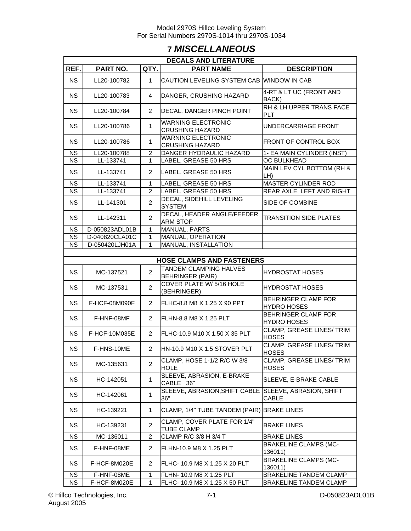## **7** *MISCELLANEOUS*

| <b>DECALS AND LITERATURE</b> |                                             |                |                                                     |                                                  |  |  |  |  |  |  |
|------------------------------|---------------------------------------------|----------------|-----------------------------------------------------|--------------------------------------------------|--|--|--|--|--|--|
| REF.                         | PART NO.                                    | QTY.           | <b>PART NAME</b>                                    | <b>DESCRIPTION</b>                               |  |  |  |  |  |  |
| <b>NS</b>                    | LL20-100782                                 | $\mathbf{1}$   | CAUTION LEVELING SYSTEM CAB WINDOW IN CAB           |                                                  |  |  |  |  |  |  |
| <b>NS</b>                    | LL20-100783                                 | 4              | DANGER, CRUSHING HAZARD                             | 4-RT & LT UC (FRONT AND<br>BACK)                 |  |  |  |  |  |  |
| <b>NS</b>                    | LL20-100784                                 | $\overline{2}$ | DECAL, DANGER PINCH POINT                           | RH & LH UPPER TRANS FACE<br><b>PLT</b>           |  |  |  |  |  |  |
| <b>NS</b>                    | LL20-100786                                 | 1              | <b>WARNING ELECTRONIC</b><br><b>CRUSHING HAZARD</b> | UNDERCARRIAGE FRONT                              |  |  |  |  |  |  |
| <b>NS</b>                    | LL20-100786                                 | 1              | <b>WARNING ELECTRONIC</b><br><b>CRUSHING HAZARD</b> | FRONT OF CONTROL BOX                             |  |  |  |  |  |  |
| <b>NS</b>                    | LL20-100788                                 | $\overline{2}$ | DANGER HYDRAULIC HAZARD                             | 1- EA MAIN CYLINDER (INST)                       |  |  |  |  |  |  |
| <b>NS</b>                    | LL-133741                                   | 1              | LABEL, GREASE 50 HRS                                | OC BULKHEAD                                      |  |  |  |  |  |  |
| <b>NS</b>                    | LL-133741                                   | $\overline{2}$ | LABEL, GREASE 50 HRS                                | MAIN LEV CYL BOTTOM (RH &<br>LH)                 |  |  |  |  |  |  |
| $N\overline{S}$              | LL-133741                                   | $\mathbf{1}$   | LABEL, GREASE 50 HRS                                | <b>MASTER CYLINDER ROD</b>                       |  |  |  |  |  |  |
| $\overline{\text{NS}}$       | LL-133741                                   | $\overline{2}$ | LABEL, GREASE 50 HRS                                | REAR AXLE, LEFT AND RIGHT                        |  |  |  |  |  |  |
| <b>NS</b>                    | LL-141301                                   | $\overline{c}$ | <b>DECAL, SIDEHILL LEVELING</b><br><b>SYSTEM</b>    | SIDE OF COMBINE                                  |  |  |  |  |  |  |
| <b>NS</b>                    | LL-142311                                   | $\overline{2}$ | DECAL, HEADER ANGLE/FEEDER<br><b>ARM STOP</b>       | <b>TRANSITION SIDE PLATES</b>                    |  |  |  |  |  |  |
| <b>NS</b>                    | D-050823ADL01B                              | 1              | <b>MANUAL, PARTS</b>                                |                                                  |  |  |  |  |  |  |
| <b>NS</b>                    | D-040820CLA01C                              | 1              | <b>MANUAL, OPERATION</b>                            |                                                  |  |  |  |  |  |  |
| <b>NS</b>                    | MANUAL, INSTALLATION<br>D-050420LJH01A<br>1 |                |                                                     |                                                  |  |  |  |  |  |  |
|                              |                                             |                |                                                     |                                                  |  |  |  |  |  |  |
|                              |                                             |                | <b>HOSE CLAMPS AND FASTENERS</b>                    |                                                  |  |  |  |  |  |  |
| <b>NS</b>                    | MC-137521                                   | $\overline{2}$ | TANDEM CLAMPING HALVES<br><b>BEHRINGER (PAIR)</b>   | <b>HYDROSTAT HOSES</b>                           |  |  |  |  |  |  |
| <b>NS</b>                    | MC-137531                                   | $\overline{c}$ | COVER PLATE W/ 5/16 HOLE<br>(BEHRINGER)             | <b>HYDROSTAT HOSES</b>                           |  |  |  |  |  |  |
| <b>NS</b>                    | F-HCF-08M090F                               | $\overline{2}$ | FLHC-8.8 M8 X 1.25 X 90 PPT                         | BEHRINGER CLAMP FOR<br><b>HYDRO HOSES</b>        |  |  |  |  |  |  |
| <b>NS</b>                    | F-HNF-08MF                                  | $\overline{2}$ | FLHN-8.8 M8 X 1.25 PLT                              | <b>BEHRINGER CLAMP FOR</b><br><b>HYDRO HOSES</b> |  |  |  |  |  |  |
| <b>NS</b>                    | F-HCF-10M035E                               | $\overline{2}$ | FLHC-10.9 M10 X 1.50 X 35 PLT                       | CLAMP, GREASE LINES/ TRIM<br><b>HOSES</b>        |  |  |  |  |  |  |
| <b>NS</b>                    | F-HNS-10ME                                  | 2              | HN-10.9 M10 X 1.5 STOVER PLT                        | <b>CLAMP, GREASE LINES/TRIM</b><br><b>HOSES</b>  |  |  |  |  |  |  |
| <b>NS</b>                    | MC-135631                                   | $\overline{c}$ | CLAMP, HOSE 1-1/2 R/C W 3/8<br><b>HOLE</b>          | <b>CLAMP, GREASE LINES/ TRIM</b><br><b>HOSES</b> |  |  |  |  |  |  |
| <b>NS</b>                    | HC-142051<br>1                              |                | SLEEVE, ABRASION, E-BRAKE<br>CABLE 36"              | SLEEVE, E-BRAKE CABLE                            |  |  |  |  |  |  |
| <b>NS</b>                    | HC-142061<br>1                              |                | SLEEVE, ABRASION, SHIFT CABLE<br>36"                | SLEEVE, ABRASION, SHIFT<br>CABLE                 |  |  |  |  |  |  |
| <b>NS</b>                    | $\mathbf{1}$<br>HC-139221                   |                | CLAMP, 1/4" TUBE TANDEM (PAIR) BRAKE LINES          |                                                  |  |  |  |  |  |  |
| <b>NS</b>                    | $\overline{c}$<br>HC-139231                 |                | CLAMP, COVER PLATE FOR 1/4"<br><b>TUBE CLAMP</b>    | <b>BRAKE LINES</b>                               |  |  |  |  |  |  |
| NS.                          | MC-136011                                   | 2              | CLAMP R/C 3/8 H 3/4 T                               | <b>BRAKE LINES</b>                               |  |  |  |  |  |  |
| <b>NS</b>                    | F-HNF-08ME                                  | $\overline{2}$ | FLHN-10.9 M8 X 1.25 PLT                             | <b>BRAKELINE CLAMPS (MC-</b><br>136011)          |  |  |  |  |  |  |
| <b>NS</b>                    | F-HCF-8M020E                                | 2              | FLHC-10.9 M8 X 1.25 X 20 PLT                        | <b>BRAKELINE CLAMPS (MC-</b><br>136011)          |  |  |  |  |  |  |
| NS.                          | F-HNF-08ME                                  | 1              | FLHN- 10.9 M8 X 1.25 PLT                            | <b>BRAKELINE TANDEM CLAMP</b>                    |  |  |  |  |  |  |
| <b>NS</b>                    | F-HCF-8M020E                                | 1              | FLHC- 10.9 M8 X 1.25 X 50 PLT                       | BRAKELINE TANDEM CLAMP                           |  |  |  |  |  |  |